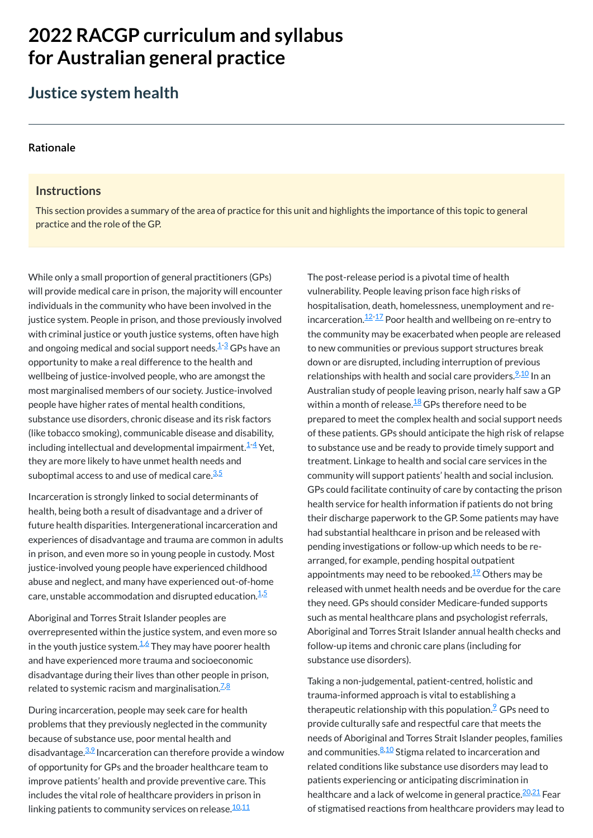# **2022 RACGP curriculum and syllabus for Australian [general practice](https://www.racgp.org.au/Curriculum-and-Syllabus/home)**

## **Justice system health**

#### **[Rationale](javascript:void(0))**

#### **Instructions**

While only a small proportion of general practitioners (GPs) will provide medical care in prison, the majority will encounter individuals in the community who have been involved in the justice system. People in prison, and those previously involved with criminal justice or youth justice systems, often have high and ongoing medical and social support needs.<sup>[1](#page-1-0)-[3](#page-1-1)</sup> GPs have an opportunity to make a real difference to the health and wellbeing of justice-involved people, who are amongst the most marginalised members of our society. Justice-involved people have higher rates of mental health conditions, substance use disorders, chronic disease and its risk factors (like tobacco smoking), communicable disease and disability, including intellectual and developmental impairment. $^{\underline{1}\cdot \underline{4}}$  $^{\underline{1}\cdot \underline{4}}$  $^{\underline{1}\cdot \underline{4}}$  Yet, they are more likely to have unmet health needs and suboptimal access to and use of medical care.<sup>[3](#page-1-1)[,5](#page-1-3)</sup>

This section provides a summary of the area of practice for this unit and highlights the importance of this topic to general practice and the role of the GP.

Incarceration is strongly linked to social determinants of health, being both a result of disadvantage and a driver of future health disparities. Intergenerational incarceration and experiences of disadvantage and trauma are common in adults in prison, and even more so in young people in custody. Most justice-involved young people have experienced childhood abuse and neglect, and many have experienced out-of-home care, unstable accommodation and disrupted education. $^{\underline{1, \underline{5}}}$  $^{\underline{1, \underline{5}}}$  $^{\underline{1, \underline{5}}}$ 

During incarceration, people may seek care for health problems that they previously neglected in the community because of substance use, poor mental health and disadvantage.<sup>[3](#page-1-1),2</sup> Incarceration can therefore provide a window of opportunity for GPs and the broader healthcare team to improve patients' health and provide preventive care. This includes the vital role of healthcare providers in prison in linking patients to community services on release.<sup>[10,](#page-1-8)[11](#page-1-9)</sup>

Aboriginal and Torres Strait Islander peoples are overrepresented within the justice system, and even more so The post-release period is a pivotal time of health vulnerability. People leaving prison face high risks of hospitalisation, death, homelessness, unemployment and reincarceration. $^{12\text{-}17}_{\vphantom{1}}$  $^{12\text{-}17}_{\vphantom{1}}$  $^{12\text{-}17}_{\vphantom{1}}$  Poor health and wellbeing on re-entry to the community may be exacerbated when people are released to new communities or previous support structures break down or are disrupted, including interruption of previous relationships with health and social care providers.<sup>[9](#page-1-7)[,10](#page-1-8)</sup> In an Australian study of people leaving prison, nearly half saw a GP within a month of release. $^{\underline{18}}$  $^{\underline{18}}$  $^{\underline{18}}$  GPs therefore need to be prepared to meet the complex health and social support needs of these patients. GPs should anticipate the high risk of relapse to substance use and be ready to provide timely support and treatment. Linkage to health and social care services in the community will support patients' health and social inclusion. GPs could facilitate continuity of care by contacting the prison health service for health information if patients do not bring their discharge paperwork to the GP. Some patients may have had substantial healthcare in prison and be released with pending investigations or follow-up which needs to be rearranged, for example, pending hospital outpatient appointments may need to be rebooked.<sup>[19](#page-1-13)</sup> Others may be released with unmet health needs and be overdue for the care they need. GPs should consider Medicare-funded supports such as mental healthcare plans and psychologist referrals,

Aboriginal and Torres Strait Islander annual health checks and follow-up items and chronic care plans (including for substance use disorders).

in the youth justice system. $^{\underline{1,6}}$  $^{\underline{1,6}}$  $^{\underline{1,6}}$  $^{\underline{1,6}}$  They may have poorer health and have experienced more trauma and socioeconomic disadvantage during their lives than other people in prison, related to systemic racism and marginalisation.<sup>Z,[8](#page-1-6)</sup>

Taking a non-judgemental, patient-centred, holistic and trauma-informed approach is vital to establishing a therapeutic relationship with this population. $\mathsf{\small 2}$  GPs need to provide culturally safe and respectful care that meets the needs of Aboriginal and Torres Strait Islander peoples, families and communities. $\frac{8,10}{ }$  $\frac{8,10}{ }$  $\frac{8,10}{ }$  $\frac{8,10}{ }$  Stigma related to incarceration and related conditions like substance use disorders may lead to patients experiencing or anticipating discrimination in healthcare and a lack of welcome in general practice.<sup>[20,](#page-1-14)[21](#page-1-15)</sup> Fear of stigmatised reactions from healthcare providers may lead to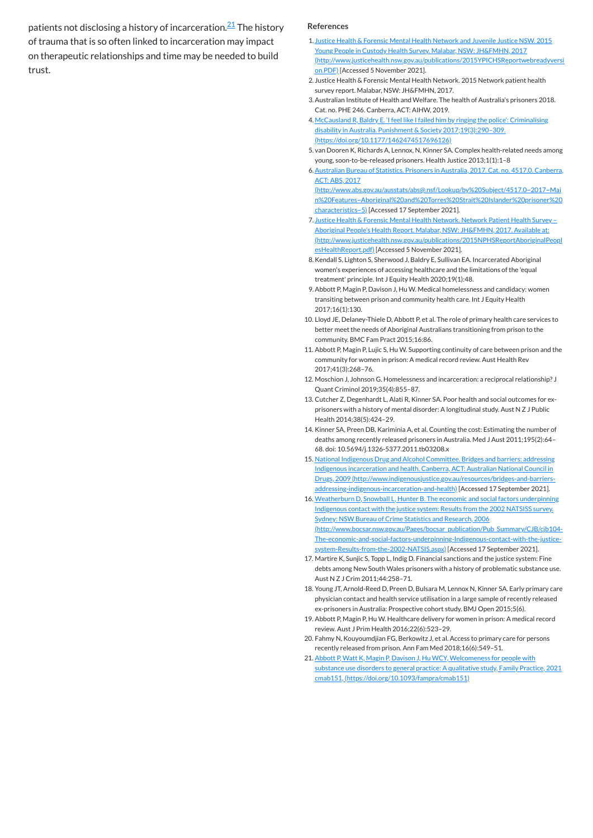patients not disclosing a history of incarceration.<sup>[21](#page-1-15)</sup> The history of trauma that is so often linked to incarceration may impact on therapeutic relationships and time may be needed to build trust.

#### **References**

- <span id="page-1-0"></span>1. Justice Health & Forensic Mental Health Network and Juvenile Justice NSW. 2015 Young People in Custody Health Survey. Malabar, NSW: JH&FMHN, 2017 [\(http://www.justicehealth.nsw.gov.au/publications/2015YPICHSReportwebreadyversi](http://www.justicehealth.nsw.gov.au/publications/2015YPICHSReportwebreadyversion.PDF) on.PDF) [Accessed 5 November 2021].
- 2. Justice Health & Forensic Mental Health Network. 2015 Network patient health survey report. Malabar, NSW: JH&FMHN, 2017.
- <span id="page-1-1"></span>3.Australian Institute of Health and Welfare. The health of Australia's prisoners 2018. Cat. no. PHE 246. Canberra, ACT: AIHW, 2019.
- <span id="page-1-2"></span>4. McCausland R, Baldry E. 'I feel like I failed him by ringing the police': Criminalising disability in Australia. Punishment & Society 2017;19(3):290–309. [\(https://doi.org/10.1177/1462474517696126\)](https://doi.org/10.1177/1462474517696126)
- <span id="page-1-3"></span>5. van Dooren K, Richards A, Lennox, N, Kinner SA. Complex health-related needs among young, soon-to-be-released prisoners. Health Justice 2013;1(1):1–8
- <span id="page-1-4"></span>6.Australian Bureau of Statistics. Prisoners in Australia, 2017. Cat. no. 4517.0. Canberra, ACT: ABS, 2017

(http://www.abs.gov.au/ausstats/abs@.nsf/Lookup/by%20Subject/4517.0~2017~Mai [n%20Features~Aboriginal%20and%20Torres%20Strait%20Islander%20prisoner%20](http://www.abs.gov.au/ausstats/abs@.nsf/Lookup/by%20Subject/4517.0~2017~Main%20Features~Aboriginal%20and%20Torres%20Strait%20Islander%20prisoner%20characteristics~5) characteristics~5) [Accessed 17 September 2021].

- <span id="page-1-5"></span>7. Justice Health & Forensic Mental Health Network. Network Patient Health Survey -Aboriginal People's Health Report. Malabar, NSW: JH&FMHN, 2017. Available at: [\(http://www.justicehealth.nsw.gov.au/publications/2015NPHSReportAboriginalPeopl](http://www.justicehealth.nsw.gov.au/publications/2015NPHSReportAboriginalPeoplesHealthReport.pdf) esHealthReport.pdf) [Accessed 5 November 2021].
- <span id="page-1-6"></span>8.Kendall S, Lighton S, Sherwood J, Baldry E, Sullivan EA. Incarcerated Aboriginal women's experiences of accessing healthcare and the limitations of the 'equal treatment' principle. Int J Equity Health 2020;19(1):48.
- <span id="page-1-7"></span>9.Abbott P, Magin P, Davison J, Hu W. Medical homelessness and candidacy: women transiting between prison and community health care. Int J Equity Health 2017;16(1):130.
- <span id="page-1-8"></span>10. Lloyd JE, Delaney-Thiele D, Abbott P, et al. The role of primary health care services to better meet the needs of Aboriginal Australians transitioning from prison to the community. BMC Fam Pract 2015;16:86.
- <span id="page-1-9"></span>11. Abbott P, Magin P, Lujic S, Hu W. Supporting continuity of care between prison and the community for women in prison: A medical record review. Aust Health Rev 2017;41(3):268–76.
- <span id="page-1-10"></span>12. Moschion J, Johnson G. Homelessness and incarceration: a reciprocal relationship? J Quant Criminol 2019;35(4):855–87.
- 13. Cutcher Z, Degenhardt L, Alati R, Kinner SA. Poor health and social outcomes for exprisoners with a history of mental disorder: A longitudinal study. Aust N Z J Public Health 2014;38(5):424–29.
- 14. Kinner SA, Preen DB, Kariminia A, et al. Counting the cost: Estimating the number of deaths among recently released prisoners in Australia. Med J Aust 2011;195(2):64– 68. doi: 10.5694/j.1326-5377.2011.tb03208.x
- 15. National Indigenous Drug and Alcohol Committee. Bridges and barriers: addressing Indigenous incarceration and health. Canberra, ACT: Australian National Council in Drugs, 2009 [\(http://www.indigenousjustice.gov.au/resources/bridges-and-barriers](http://www.indigenousjustice.gov.au/resources/bridges-and-barriers-addressing-indigenous-incarceration-and-health)addressing-indigenous-incarceration-and-health) [Accessed 17 September 2021].
- 16. Weatherburn D, Snowball L, Hunter B. The economic and social factors underpinning Indigenous contact with the justice system: Results from the 2002 NATSISS survey. Sydney: NSW Bureau of Crime Statistics and Research, 2006 [\(http://www.bocsar.nsw.gov.au/Pages/bocsar\\_publication/Pub\\_Summary/CJB/cjb104-](http://www.bocsar.nsw.gov.au/Pages/bocsar_publication/Pub_Summary/CJB/cjb104-The-economic-and-social-factors-underpinning-Indigenous-contact-with-the-justice-system-Results-from-the-2002-NATSIS.aspx) The-economic-and-social-factors-underpinning-Indigenous-contact-with-the-justicesystem-Results-from-the-2002-NATSIS.aspx) [Accessed 17 September 2021].
- <span id="page-1-11"></span>17. Martire K, Sunjic S, Topp L, Indig D. Financial sanctions and the justice system: Fine debts among New South Wales prisoners with a history of problematic substance use. Aust N Z J Crim 2011;44:258–71.
- <span id="page-1-12"></span>18. Young JT, Arnold-Reed D, Preen D, Bulsara M, Lennox N, Kinner SA. Early primary care physician contact and health service utilisation in a large sample of recently released ex-prisoners in Australia: Prospective cohort study. BMJ Open 2015;5(6).
- <span id="page-1-13"></span>19. Abbott P, Magin P, Hu W. Healthcare delivery for women in prison: A medical record review. Aust J Prim Health 2016;22(6):523–29.

<span id="page-1-15"></span>21. Abbott P, Watt K, Magin P, Davison J, Hu WCY, Welcomeness for people with substance use disorders to general practice: A qualitative study, Family Practice, 2021 cmab151, [\(https://doi.org/10.1093/fampra/cmab151\)](https://doi.org/10.1093/fampra/cmab151)

<span id="page-1-14"></span>20. Fahmy N, Kouyoumdjian FG, Berkowitz J, et al. Access to primary care for persons recently released from prison. Ann Fam Med 2018;16(6):549–51.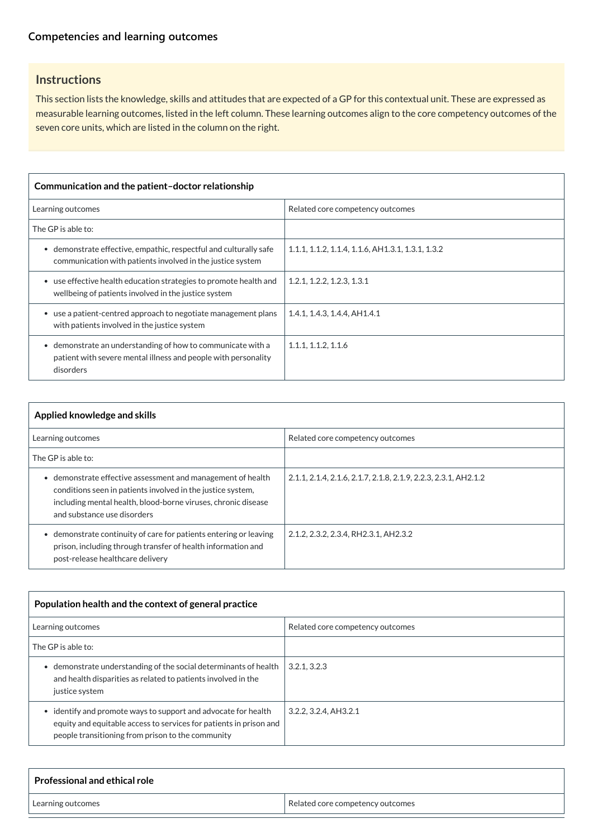## **[Competencies and learning outcomes](javascript:void(0))**

## **Instructions**

This section lists the knowledge, skills and attitudes that are expected of a GP for this contextual unit. These are expressed as measurable learning outcomes, listed in the left column. These learning outcomes align to the core competency outcomes of the seven core units, which are listed in the column on the right.

| Communication and the patient-doctor relationship                                                                                                     |                                                   |  |
|-------------------------------------------------------------------------------------------------------------------------------------------------------|---------------------------------------------------|--|
| Learning outcomes                                                                                                                                     | Related core competency outcomes                  |  |
| The GP is able to:                                                                                                                                    |                                                   |  |
| demonstrate effective, empathic, respectful and culturally safe<br>$\bullet$<br>communication with patients involved in the justice system            | 1.1.1, 1.1.2, 1.1.4, 1.1.6, AH1.3.1, 1.3.1, 1.3.2 |  |
| • use effective health education strategies to promote health and<br>wellbeing of patients involved in the justice system                             | 1.2.1, 1.2.2, 1.2.3, 1.3.1                        |  |
| use a patient-centred approach to negotiate management plans<br>$\bullet$<br>with patients involved in the justice system                             | 1.4.1, 1.4.3, 1.4.4, AH1.4.1                      |  |
| demonstrate an understanding of how to communicate with a<br>$\bullet$<br>patient with severe mental illness and people with personality<br>disorders | 1.1.1, 1.1.2, 1.1.6                               |  |

| $\mathsf{\scriptstyle\mathsf{I}}$ Population health and the context of general practice |                                  |
|-----------------------------------------------------------------------------------------|----------------------------------|
| Learning outcomes                                                                       | Related core competency outcomes |

| Applied knowledge and skills                                                                                                                                                                                                          |                                                                 |  |
|---------------------------------------------------------------------------------------------------------------------------------------------------------------------------------------------------------------------------------------|-----------------------------------------------------------------|--|
| Learning outcomes                                                                                                                                                                                                                     | Related core competency outcomes                                |  |
| The GP is able to:                                                                                                                                                                                                                    |                                                                 |  |
| demonstrate effective assessment and management of health<br>$\bullet$<br>conditions seen in patients involved in the justice system,<br>including mental health, blood-borne viruses, chronic disease<br>and substance use disorders | 2.1.1, 2.1.4, 2.1.6, 2.1.7, 2.1.8, 2.1.9, 2.2.3, 2.3.1, AH2.1.2 |  |
| demonstrate continuity of care for patients entering or leaving<br>prison, including through transfer of health information and<br>post-release healthcare delivery                                                                   | 2.1.2, 2.3.2, 2.3.4, RH2.3.1, AH2.3.2                           |  |

| The GP is able to:                                                                                                                                                                      |                       |
|-----------------------------------------------------------------------------------------------------------------------------------------------------------------------------------------|-----------------------|
| demonstrate understanding of the social determinants of health<br>and health disparities as related to patients involved in the<br>justice system                                       | 3.2.1, 3.2.3          |
| identify and promote ways to support and advocate for health<br>equity and equitable access to services for patients in prison and<br>people transitioning from prison to the community | 3.2.2, 3.2.4, AH3.2.1 |

| <b>Professional and ethical role</b> |                                  |
|--------------------------------------|----------------------------------|
| Learning outcomes                    | Related core competency outcomes |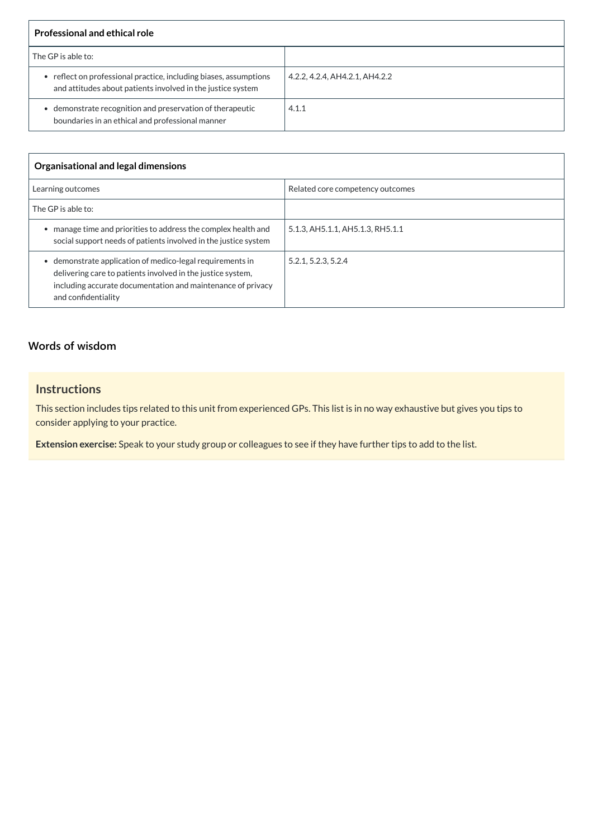| <b>Professional and ethical role</b>                                                                                             |                                |
|----------------------------------------------------------------------------------------------------------------------------------|--------------------------------|
| The GP is able to:                                                                                                               |                                |
| • reflect on professional practice, including biases, assumptions<br>and attitudes about patients involved in the justice system | 4.2.2, 4.2.4, AH4.2.1, AH4.2.2 |
| demonstrate recognition and preservation of therapeutic<br>boundaries in an ethical and professional manner                      | 4.1.1                          |

| <b>Organisational and legal dimensions</b>                                                                                                                                                                        |                                  |
|-------------------------------------------------------------------------------------------------------------------------------------------------------------------------------------------------------------------|----------------------------------|
| Learning outcomes                                                                                                                                                                                                 | Related core competency outcomes |
| The GP is able to:                                                                                                                                                                                                |                                  |
| manage time and priorities to address the complex health and<br>social support needs of patients involved in the justice system                                                                                   | 5.1.3, AH5.1.1, AH5.1.3, RH5.1.1 |
| demonstrate application of medico-legal requirements in<br>۰<br>delivering care to patients involved in the justice system,<br>including accurate documentation and maintenance of privacy<br>and confidentiality | 5.2.1, 5.2.3, 5.2.4              |

## **[Words of wisdom](javascript:void(0))**

## **Instructions**

This section includes tips related to this unit from experienced GPs. This list is in no way exhaustive but gives you tips to consider applying to your practice.

**Extension exercise:** Speak to your study group or colleagues to see if they have further tips to add to the list.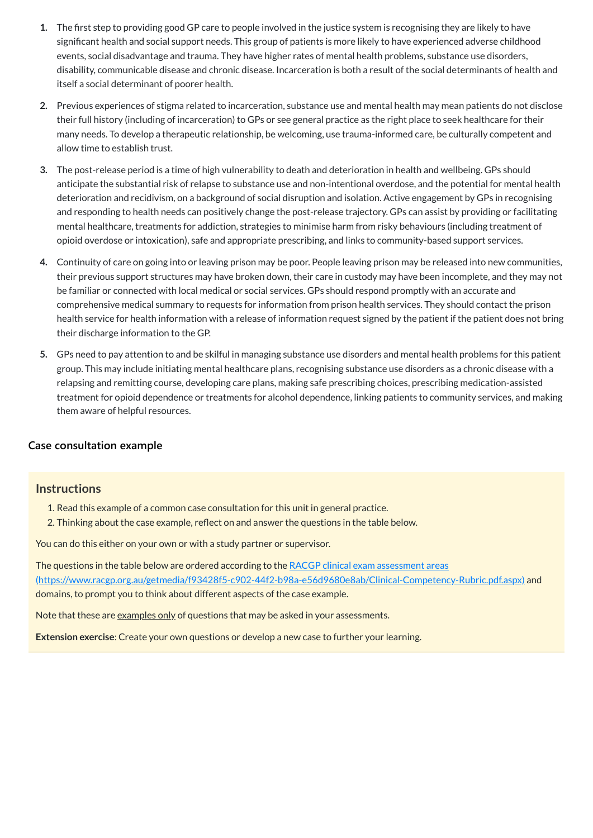- **1.** The first step to providing good GP care to people involved in the justice system is recognising they are likely to have significant health and social support needs. This group of patients is more likely to have experienced adverse childhood events, social disadvantage and trauma. They have higher rates of mental health problems, substance use disorders, disability, communicable disease and chronic disease. Incarceration is both a result of the social determinants of health and itself a social determinant of poorer health.
- **2.** Previous experiences of stigma related to incarceration, substance use and mental health may mean patients do not disclose their full history (including of incarceration) to GPs or see general practice as the right place to seek healthcare for their many needs. To develop a therapeutic relationship, be welcoming, use trauma-informed care, be culturally competent and allow time to establish trust.
- **3.** The post-release period is a time of high vulnerability to death and deterioration in health and wellbeing. GPs should anticipate the substantial risk of relapse to substance use and non-intentional overdose, and the potential for mental health deterioration and recidivism, on a background of social disruption and isolation. Active engagement by GPs in recognising and responding to health needs can positively change the post-release trajectory. GPs can assist by providing or facilitating mental healthcare, treatments for addiction, strategies to minimise harm from risky behaviours (including treatment of opioid overdose or intoxication), safe and appropriate prescribing, and links to community-based support services.
- **4.** Continuity of care on going into or leaving prison may be poor. People leaving prison may be released into new communities, their previous support structures may have broken down, their care in custody may have been incomplete, and they may not be familiar or connected with local medical or social services. GPs should respond promptly with an accurate and comprehensive medical summary to requests for information from prison health services. They should contact the prison health service for health information with a release of information request signed by the patient if the patient does not bring their discharge information to the GP.
- **5.** GPs need to pay attention to and be skilful in managing substance use disorders and mental health problems for this patient group. This may include initiating mental healthcare plans, recognising substance use disorders as a chronic disease with a relapsing and remitting course, developing care plans, making safe prescribing choices, prescribing medication-assisted treatment for opioid dependence or treatments for alcohol dependence, linking patients to community services, and making them aware of helpful resources.

The questions in the table below are ordered according to the RACGP clinical exam assessment areas [\(https://www.racgp.org.au/getmedia/f93428f5-c902-44f2-b98a-e56d9680e8ab/Clinical-Competency-Rubric.pdf.aspx\)](https://www.racgp.org.au/getmedia/f93428f5-c902-44f2-b98a-e56d9680e8ab/Clinical-Competency-Rubric.pdf.aspx) and domains, to prompt you to think about different aspects of the case example.

Note that these are examples only of questions that may be asked in your assessments.

#### **[Case consultation example](javascript:void(0))**

#### **Instructions**

- 1. Read this example of a common case consultation for this unit in general practice.
- 2. Thinking about the case example, reflect on and answer the questions in the table below.

You can do this either on your own or with a study partner or supervisor.

**Extension exercise**: Create your own questions or develop a new case to further your learning.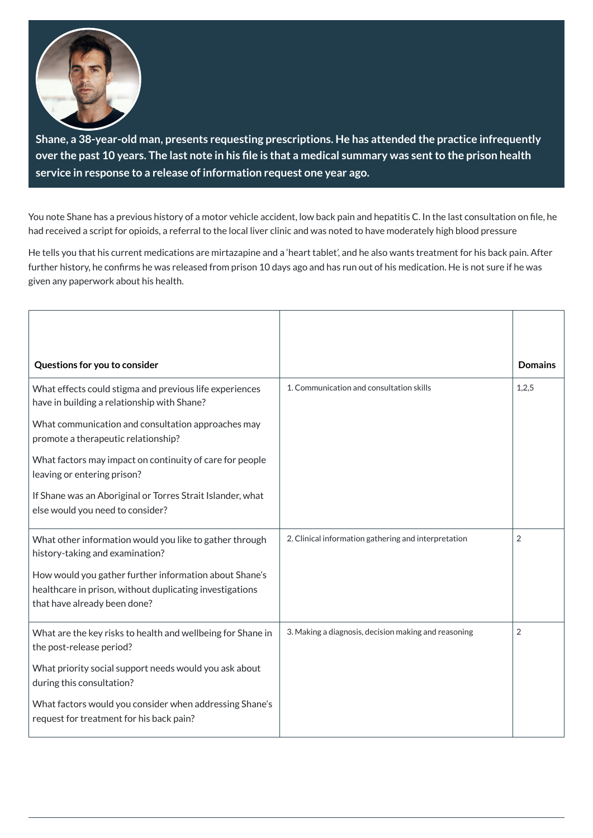

**Shane, a 38-year-old man, presents requesting prescriptions. He has attended the practice infrequently** over the past 10 years. The last note in his file is that a medical summary was sent to the prison health **service in response to a release of information request one year ago.**

You note Shane has a previous history of a motor vehicle accident, low back pain and hepatitis C. In the last consultation on file, he had received a script for opioids, a referral to the local liver clinic and was noted to have moderately high blood pressure

He tells you that his current medications are mirtazapine and a 'heart tablet', and he also wants treatment for his back pain. After further history, he confirms he was released from prison 10 days ago and has run out of his medication. He is not sure if he was given any paperwork about his health.

| Questions for you to consider                                                                                                                      |                                                      | <b>Domains</b> |
|----------------------------------------------------------------------------------------------------------------------------------------------------|------------------------------------------------------|----------------|
| What effects could stigma and previous life experiences<br>have in building a relationship with Shane?                                             | 1. Communication and consultation skills             | 1,2,5          |
| What communication and consultation approaches may<br>promote a therapeutic relationship?                                                          |                                                      |                |
| What factors may impact on continuity of care for people<br>leaving or entering prison?                                                            |                                                      |                |
| If Shane was an Aboriginal or Torres Strait Islander, what<br>else would you need to consider?                                                     |                                                      |                |
| What other information would you like to gather through<br>history-taking and examination?                                                         | 2. Clinical information gathering and interpretation | $\overline{2}$ |
| How would you gather further information about Shane's<br>healthcare in prison, without duplicating investigations<br>that have already been done? |                                                      |                |
| What are the key risks to health and wellbeing for Shane in<br>the post-release period?                                                            | 3. Making a diagnosis, decision making and reasoning | $\overline{2}$ |
| What priority social support needs would you ask about<br>during this consultation?                                                                |                                                      |                |
| What factors would you consider when addressing Shane's<br>request for treatment for his back pain?                                                |                                                      |                |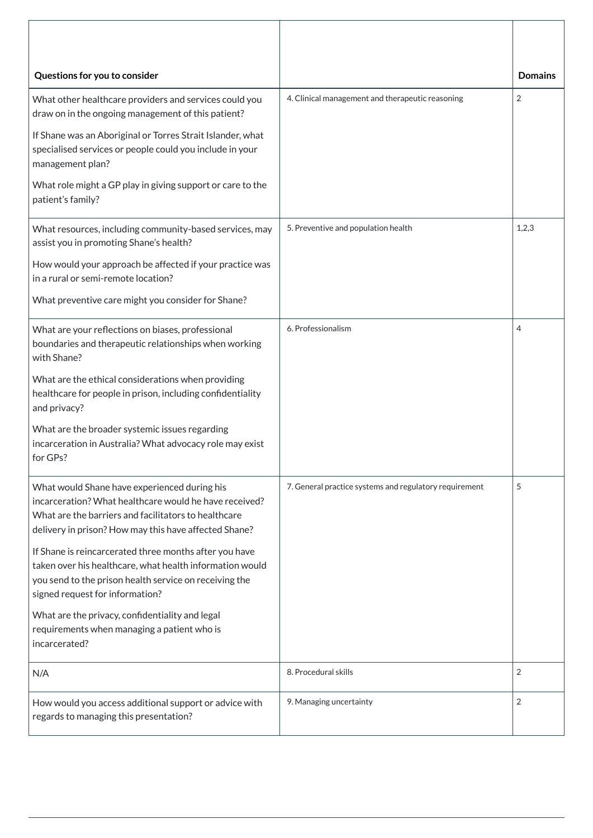| Questions for you to consider                                                                                                                                                                                           |                                                        | <b>Domains</b> |
|-------------------------------------------------------------------------------------------------------------------------------------------------------------------------------------------------------------------------|--------------------------------------------------------|----------------|
| What other healthcare providers and services could you<br>draw on in the ongoing management of this patient?                                                                                                            | 4. Clinical management and therapeutic reasoning       | $\overline{2}$ |
| If Shane was an Aboriginal or Torres Strait Islander, what<br>specialised services or people could you include in your<br>management plan?                                                                              |                                                        |                |
| What role might a GP play in giving support or care to the<br>patient's family?                                                                                                                                         |                                                        |                |
| What resources, including community-based services, may<br>assist you in promoting Shane's health?                                                                                                                      | 5. Preventive and population health                    | 1,2,3          |
| How would your approach be affected if your practice was<br>in a rural or semi-remote location?                                                                                                                         |                                                        |                |
| What preventive care might you consider for Shane?                                                                                                                                                                      |                                                        |                |
| What are your reflections on biases, professional<br>boundaries and therapeutic relationships when working<br>with Shane?                                                                                               | 6. Professionalism                                     | 4              |
| What are the ethical considerations when providing<br>healthcare for people in prison, including confidentiality<br>and privacy?                                                                                        |                                                        |                |
| What are the broader systemic issues regarding<br>incarceration in Australia? What advocacy role may exist<br>for GPs?                                                                                                  |                                                        |                |
| What would Shane have experienced during his<br>incarceration? What healthcare would he have received?<br>What are the barriers and facilitators to healthcare<br>delivery in prison? How may this have affected Shane? | 7. General practice systems and regulatory requirement | 5              |
| If Shane is reincarcerated three months after you have<br>taken over his healthcare, what health information would<br>you send to the prison health service on receiving the<br>signed request for information?         |                                                        |                |
| What are the privacy, confidentiality and legal<br>requirements when managing a patient who is<br>incarcerated?                                                                                                         |                                                        |                |
| N/A                                                                                                                                                                                                                     | 8. Procedural skills                                   | $\overline{2}$ |
| How would you access additional support or advice with<br>regards to managing this presentation?                                                                                                                        | 9. Managing uncertainty                                | $\overline{2}$ |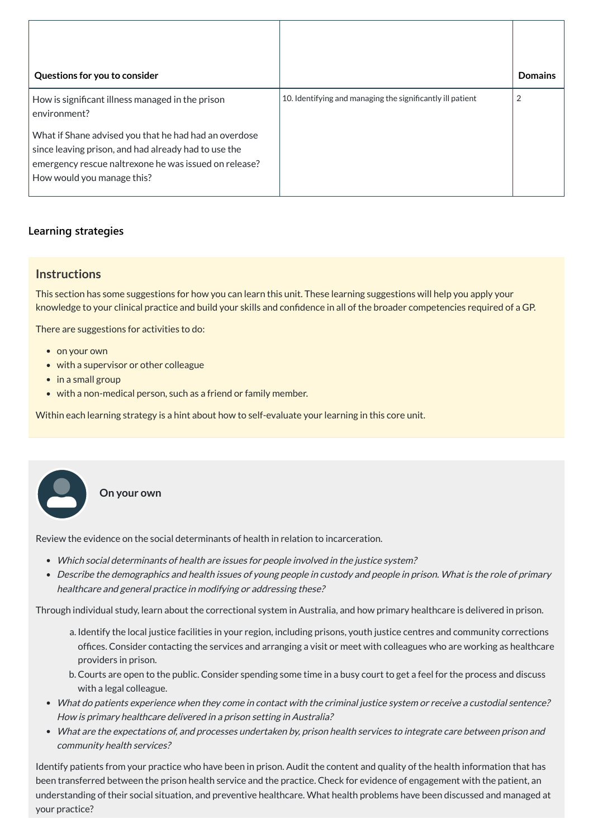| Questions for you to consider                                                                                                                                                                        |                                                            | <b>Domains</b> |
|------------------------------------------------------------------------------------------------------------------------------------------------------------------------------------------------------|------------------------------------------------------------|----------------|
| How is significant illness managed in the prison<br>environment?                                                                                                                                     | 10. Identifying and managing the significantly ill patient | $\overline{2}$ |
| What if Shane advised you that he had had an overdose<br>since leaving prison, and had already had to use the<br>emergency rescue naltrexone he was issued on release?<br>How would you manage this? |                                                            |                |

## **[Learning strategies](javascript:void(0))**

## **Instructions**

This section has some suggestions for how you can learn this unit. These learning suggestions will help you apply your knowledge to your clinical practice and build your skills and confidence in all of the broader competencies required of a GP.

There are suggestions for activities to do:

- on your own
- with a supervisor or other colleague
- in a small group
- with a non-medical person, such as a friend or family member.

Within each learning strategy is a hint about how to self-evaluate your learning in this core unit.

**On your own**

Review the evidence on the social determinants of health in relation to incarceration.

- Which social determinants of health are issues for people involved in the justice system?
- Describe the demographics and health issues of young people in custody and people in prison. What is the role of primary healthcare and general practice in modifying or addressing these?

Through individual study, learn about the correctional system in Australia, and how primary healthcare is delivered in prison.

- a. Identify the local justice facilities in your region, including prisons, youth justice centres and community corrections offices. Consider contacting the services and arranging a visit or meet with colleagues who are working as healthcare providers in prison.
	- b. Courts are open to the public. Consider spending some time in a busy court to get a feel for the process and discuss with a legal colleague.
- What do patients experience when they come in contact with the criminal justice system or receive <sup>a</sup> custodial sentence? How is primary healthcare delivered in <sup>a</sup> prison setting in Australia?
- What are the expectations of, and processes undertaken by, prison health services to integrate care between prison and community health services?

Identify patients from your practice who have been in prison. Audit the content and quality of the health information that has been transferred between the prison health service and the practice. Check for evidence of engagement with the patient, an understanding of their social situation, and preventive healthcare. What health problems have been discussed and managed at your practice?

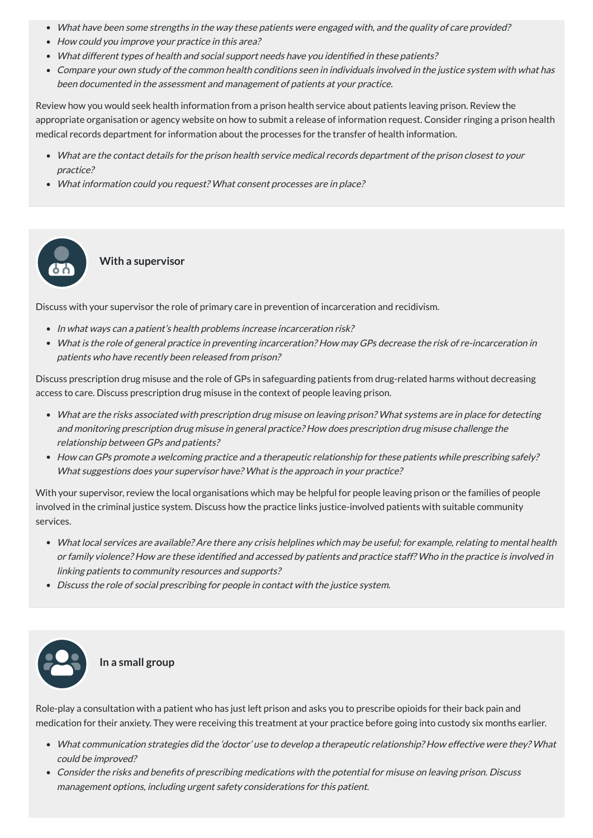- What have been some strengths in the way these patients were engaged with, and the quality of care provided?
- How could you improve your practice in this area?
- What different types of health and social support needs have you identified in these patients?
- Compare your own study of the common health conditions seen in individuals involved in the justice system with what has been documented in the assessment and management of patients at your practice.

Review how you would seek health information from a prison health service about patients leaving prison. Review the appropriate organisation or agency website on how to submit a release of information request. Consider ringing a prison health medical records department for information about the processes for the transfer of health information.

- In what ways can a patient's health problems increase incarceration risk?
- What is the role of general practice in preventing incarceration? How may GPs decrease the risk of re-incarceration in patients who have recently been released from prison?
- What are the contact details for the prison health service medical records department of the prison closest to your practice?
- What information could you request? What consent processes are in place?

**With a supervisor**

Discuss with your supervisor the role of primary care in prevention of incarceration and recidivism.

Discuss prescription drug misuse and the role of GPs in safeguarding patients from drug-related harms without decreasing access to care. Discuss prescription drug misuse in the context of people leaving prison.

- What are the risks associated with prescription drug misuse on leaving prison? What systems are in place for detecting and monitoring prescription drug misuse in general practice? How does prescription drug misuse challenge the relationship between GPs and patients?
- How can GPs promote <sup>a</sup> welcoming practice and <sup>a</sup> therapeutic relationship for these patients while prescribing safely? What suggestions does your supervisor have? What is the approach in your practice?

With your supervisor, review the local organisations which may be helpful for people leaving prison or the families of people involved in the criminal justice system. Discuss how the practice links justice-involved patients with suitable community services.

- What local services are available? Are there any crisis helplines which may be useful; for example, relating to mental health or family violence? How are these identified and accessed by patients and practice staff? Who in the practice is involved in linking patients to community resources and supports?
- Discuss the role of social prescribing for people in contact with the justice system.



#### **In a small group**

Role-play a consultation with a patient who has just left prison and asks you to prescribe opioids for their back pain and medication for their anxiety. They were receiving this treatment at your practice before going into custody six months earlier.

- What communication strategies did the 'doctor' use to develop <sup>a</sup> therapeutic relationship? How effective were they? What could be improved?
- Consider the risks and benefits of prescribing medications with the potential for misuse on leaving prison. Discuss management options, including urgent safety considerations for this patient.

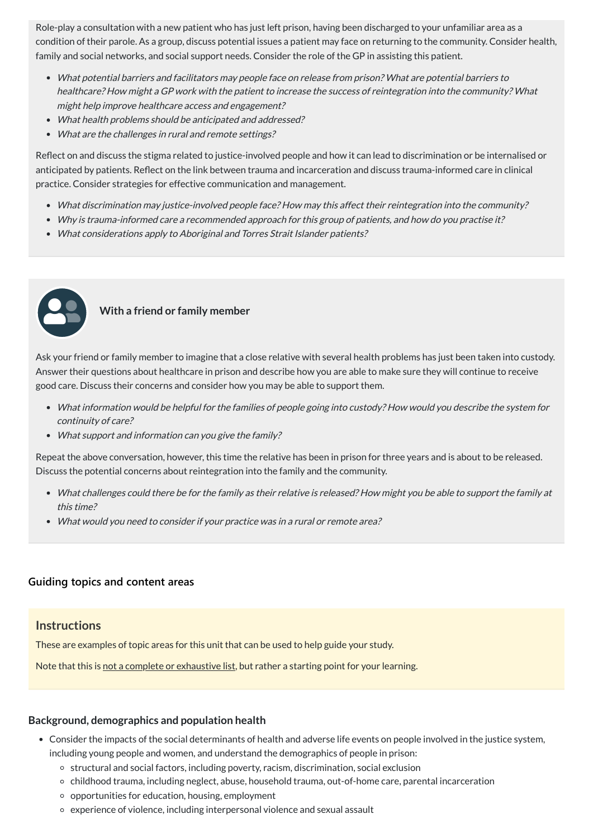Role-play a consultation with a new patient who has just left prison, having been discharged to your unfamiliar area as a condition of their parole. As a group, discuss potential issues a patient may face on returning to the community. Consider health, family and social networks, and social support needs. Consider the role of the GP in assisting this patient.

- What potential barriers and facilitators may people face on release from prison? What are potential barriers to healthcare? How might <sup>a</sup> GP work with the patient to increase the success of reintegration into the community? What might help improve healthcare access and engagement?
- What health problems should be anticipated and addressed?
- What are the challenges in rural and remote settings?

Reflect on and discuss the stigma related to justice-involved people and how it can lead to discrimination or be internalised or anticipated by patients. Reflect on the link between trauma and incarceration and discuss trauma-informed care in clinical practice. Consider strategies for effective communication and management.

- What discrimination may justice-involved people face? How may this affect their reintegration into the community?
- Why is trauma-informed care <sup>a</sup> recommended approach for this group of patients, and how do you practise it?
- What considerations apply to Aboriginal and Torres Strait Islander patients?



#### **With a friend or family member**

Ask your friend or family member to imagine that a close relative with several health problems has just been taken into custody. Answer their questions about healthcare in prison and describe how you are able to make sure they will continue to receive good care. Discuss their concerns and consider how you may be able to support them.

- What information would be helpful for the families of people going into custody? How would you describe the system for continuity of care?
- What support and information can you give the family?

Repeat the above conversation, however, this time the relative has been in prison for three years and is about to be released. Discuss the potential concerns about reintegration into the family and the community.

- What challenges could there be for the family as their relative is released? How might you be able to support the family at this time?
- What would you need to consider if your practice was in <sup>a</sup> rural or remote area?

**[Guiding topics and content areas](javascript:void(0))**

#### **Instructions**

These are examples of topic areas for this unit that can be used to help guide your study.

Note that this is not a complete or exhaustive list, but rather a starting point for your learning.

#### **Background, demographics and population health**

- Consider the impacts of the social determinants of health and adverse life events on people involved in the justice system, including young people and women, and understand the demographics of people in prison:
	- o structural and social factors, including poverty, racism, discrimination, social exclusion
	- childhood trauma, including neglect, abuse, household trauma, out-of-home care, parental incarceration
	- $\circ$  opportunities for education, housing, employment
	- experience of violence, including interpersonal violence and sexual assault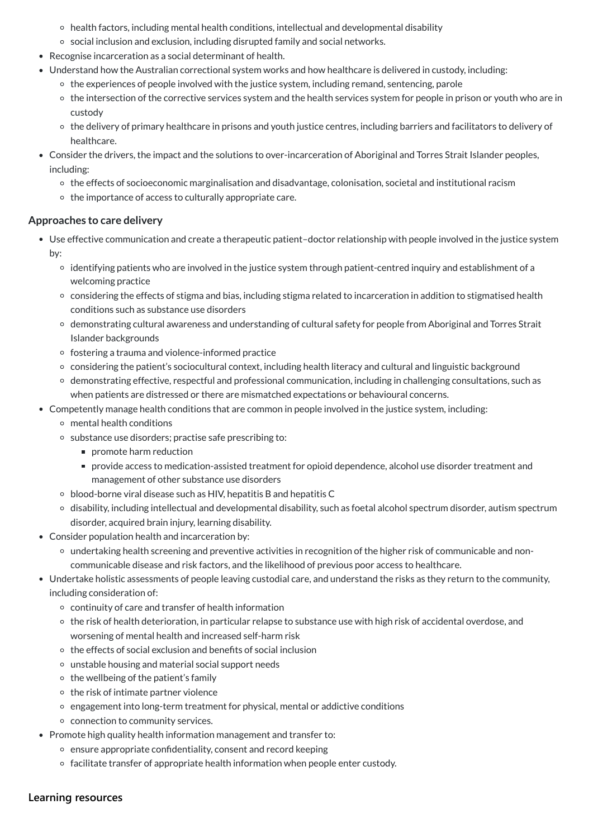- Use effective communication and create a therapeutic patient–doctor relationship with people involved in the justice system by:
	- identifying patients who are involved in the justice system through patient-centred inquiry and establishment of a welcoming practice
	- considering the effects of stigma and bias, including stigma related to incarceration in addition to stigmatised health conditions such as substance use disorders
	- demonstrating cultural awareness and understanding of cultural safety for people from Aboriginal and Torres Strait Islander backgrounds
	- $\circ$  fostering a trauma and violence-informed practice
	- considering the patient's sociocultural context, including health literacy and cultural and linguistic background
	- demonstrating effective, respectful and professional communication, including in challenging consultations, such as when patients are distressed or there are mismatched expectations or behavioural concerns.
- Competently manage health conditions that are common in people involved in the justice system, including:
	- mental health conditions
	- o substance use disorders; practise safe prescribing to:
		- promote harm reduction
		- provide access to medication-assisted treatment for opioid dependence, alcohol use disorder treatment and management of other substance use disorders
	- blood-borne viral disease such as HIV, hepatitis B and hepatitis C
	- disability, including intellectual and developmental disability, such as foetal alcohol spectrum disorder, autism spectrum disorder, acquired brain injury, learning disability.
- Consider population health and incarceration by:
	- undertaking health screening and preventive activities in recognition of the higher risk of communicable and noncommunicable disease and risk factors, and the likelihood of previous poor access to healthcare.
- Undertake holistic assessments of people leaving custodial care, and understand the risks as they return to the community, including consideration of:
	- continuity of care and transfer of health information
	- the risk of health deterioration, in particular relapse to substance use with high risk of accidental overdose, and
		- worsening of mental health and increased self-harm risk
	- $\circ$  the effects of social exclusion and benefits of social inclusion
	- unstable housing and material social support needs
	- $\circ$  the wellbeing of the patient's family
	- $\circ$  the risk of intimate partner violence
	- engagement into long-term treatment for physical, mental or addictive conditions
	- connection to community services.
- Promote high quality health information management and transfer to:
	- $\circ$  ensure appropriate confidentiality, consent and record keeping
	- o facilitate transfer of appropriate health information when people enter custody.
- health factors, including mental health conditions, intellectual and developmental disability
- social inclusion and exclusion, including disrupted family and social networks.
- Recognise incarceration as a social determinant of health.
- Understand how the Australian correctional system works and how healthcare is delivered in custody, including:
	- $\circ$  the experiences of people involved with the justice system, including remand, sentencing, parole
	- the intersection of the corrective services system and the health services system for people in prison or youth who are in custody
	- the delivery of primary healthcare in prisons and youth justice centres, including barriers and facilitators to delivery of healthcare.
- Consider the drivers, the impact and the solutions to over-incarceration of Aboriginal and Torres Strait Islander peoples, including:
	- the effects of socioeconomic marginalisation and disadvantage, colonisation, societal and institutional racism
	- $\circ$  the importance of access to culturally appropriate care.

## **Approaches to care delivery**

**[Learning resources](javascript:void(0))**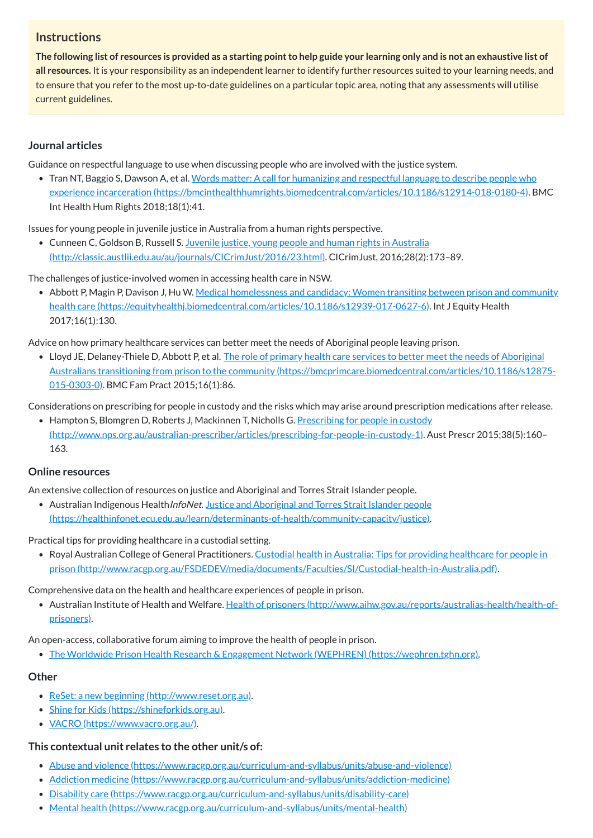## **Instructions**

The following list of resources is provided as a starting point to help guide your learning only and is not an exhaustive list of **all resources.** It is your responsibility as an independent learner to identify further resources suited to your learning needs, and to ensure that you refer to the most up-to-date guidelines on a particular topic area, noting that any assessments will utilise current guidelines.

• Tran NT, Baggio S, Dawson A, et al. Words matter: A call for humanizing and respectful language to describe people who experience incarceration [\(https://bmcinthealthhumrights.biomedcentral.com/articles/10.1186/s12914-018-0180-4\).](https://bmcinthealthhumrights.biomedcentral.com/articles/10.1186/s12914-018-0180-4) BMC Int Health Hum Rights 2018;18(1):41.

## **Journal articles**

Guidance on respectful language to use when discussing people who are involved with the justice system.

• Cunneen C, Goldson B, Russell S. Juvenile justice, young people and human rights in Australia [\(http://classic.austlii.edu.au/au/journals/CICrimJust/2016/23.html\).](http://classic.austlii.edu.au/au/journals/CICrimJust/2016/23.html) CICrimJust, 2016;28(2):173–89.

• Abbott P, Magin P, Davison J, Hu W. Medical homelessness and candidacy: Women transiting between prison and community health care [\(https://equityhealthj.biomedcentral.com/articles/10.1186/s12939-017-0627-6\).](https://equityhealthj.biomedcentral.com/articles/10.1186/s12939-017-0627-6) Int J Equity Health 2017;16(1):130.

Issues for young people in juvenile justice in Australia from a human rights perspective.

• Lloyd JE, Delaney-Thiele D, Abbott P, et al. The role of primary health care services to better meet the needs of Aboriginal Australians transitioning from prison to the community [\(https://bmcprimcare.biomedcentral.com/articles/10.1186/s12875-](https://bmcprimcare.biomedcentral.com/articles/10.1186/s12875-015-0303-0) 015-0303-0). BMC Fam Pract 2015;16(1):86.

• Hampton S, Blomgren D, Roberts J, Mackinnen T, Nicholls G. Prescribing for people in custody [\(http://www.nps.org.au/australian-prescriber/articles/prescribing-for-people-in-custody-1\).](http://www.nps.org.au/australian-prescriber/articles/prescribing-for-people-in-custody-1) Aust Prescr 2015;38(5):160– 163.

The challenges of justice-involved women in accessing health care in NSW.

• Australian Indigenous Health InfoNet. Justice and Aboriginal and Torres Strait Islander people [\(https://healthinfonet.ecu.edu.au/learn/determinants-of-health/community-capacity/justice\).](https://healthinfonet.ecu.edu.au/learn/determinants-of-health/community-capacity/justice)

• Royal Australian College of General Practitioners. Custodial health in Australia: Tips for providing healthcare for people in prison [\(http://www.racgp.org.au/FSDEDEV/media/documents/Faculties/SI/Custodial-health-in-Australia.pdf\).](http://www.racgp.org.au/FSDEDEV/media/documents/Faculties/SI/Custodial-health-in-Australia.pdf)

Advice on how primary healthcare services can better meet the needs of Aboriginal people leaving prison.

Considerations on prescribing for people in custody and the risks which may arise around prescription medications after release.

#### **Online resources**

An extensive collection of resources on justice and Aboriginal and Torres Strait Islander people.

Practical tips for providing healthcare in a custodial setting.

Comprehensive data on the health and healthcare experiences of people in prison.

Australian Institute of Health and Welfare. Health of prisoners [\(http://www.aihw.gov.au/reports/australias-health/health-of](http://www.aihw.gov.au/reports/australias-health/health-of-prisoners)prisoners).

An open-access, collaborative forum aiming to improve the health of people in prison.

The Worldwide Prison Health Research & Engagement Network (WEPHREN) [\(https://wephren.tghn.org\)](https://wephren.tghn.org/).

## **Other**

- ReSet: a new beginning [\(http://www.reset.org.au\)](http://www.reset.org.au/).
- Shine for Kids [\(https://shineforkids.org.au\).](https://shineforkids.org.au/)
- VACRO [\(https://www.vacro.org.au/\).](https://www.vacro.org.au/)

## **This contextual unit relates to the other unit/s of:**

- Abuse and violence [\(https://www.racgp.org.au/curriculum-and-syllabus/units/abuse-and-violence\)](https://www.racgp.org.au/curriculum-and-syllabus/units/abuse-and-violence)
- Addiction medicine [\(https://www.racgp.org.au/curriculum-and-syllabus/units/addiction-medicine\)](https://www.racgp.org.au/curriculum-and-syllabus/units/addiction-medicine)
- Disability care [\(https://www.racgp.org.au/curriculum-and-syllabus/units/disability-care\)](https://www.racgp.org.au/curriculum-and-syllabus/units/disability-care)
- Mental health [\(https://www.racgp.org.au/curriculum-and-syllabus/units/mental-health\)](https://www.racgp.org.au/curriculum-and-syllabus/units/mental-health)